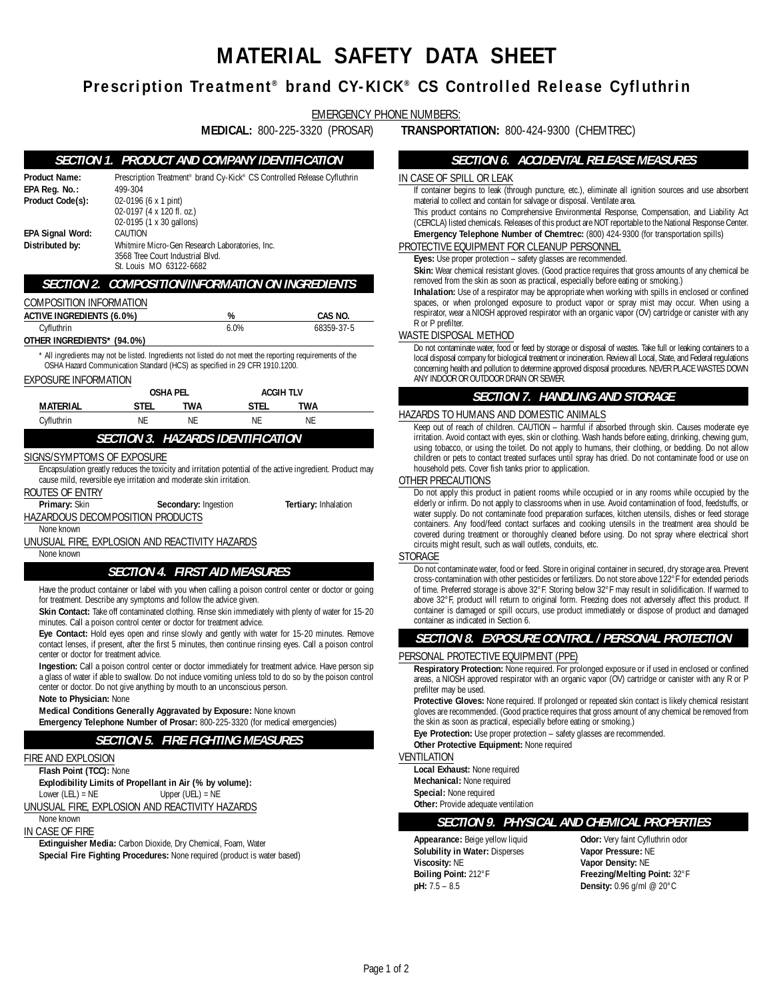# **MATERIAL SAFETY DATA SHEET**

# **Prescription Treatment ® brand CY-KICK ® CS Controlled Release Cyfluthrin**

EMERGENCY PHONE NUMBERS:

# **SECTION 1. PRODUCT AND COMPANY IDENTIFICATION**

| <b>Product Name:</b><br>EPA Reg. No.:<br>Product Code(s):                                                                                                                                                                                                                                  | Prescription Treatment® brand Cy-Kick® CS Controlled Release Cyfluthrin<br>499-304<br>02-0196 (6 x 1 pint)<br>02-0197 (4 x 120 fl. oz.)<br>02-0195 (1 x 30 gallons)<br>CAUTION<br>Whitmire Micro-Gen Research Laboratories, Inc.<br>3568 Tree Court Industrial Blvd.<br>St. Louis MO 63122-6682 |                                          |           |                                                                                                                                                                                                             |     |  |
|--------------------------------------------------------------------------------------------------------------------------------------------------------------------------------------------------------------------------------------------------------------------------------------------|-------------------------------------------------------------------------------------------------------------------------------------------------------------------------------------------------------------------------------------------------------------------------------------------------|------------------------------------------|-----------|-------------------------------------------------------------------------------------------------------------------------------------------------------------------------------------------------------------|-----|--|
| <b>EPA Signal Word:</b><br>Distributed by:                                                                                                                                                                                                                                                 |                                                                                                                                                                                                                                                                                                 |                                          |           |                                                                                                                                                                                                             |     |  |
|                                                                                                                                                                                                                                                                                            |                                                                                                                                                                                                                                                                                                 |                                          |           | <b>SECTION 2. COMPOSITION/INFORMATION ON INGREDIENTS</b>                                                                                                                                                    |     |  |
| COMPOSITION INFORMATION                                                                                                                                                                                                                                                                    |                                                                                                                                                                                                                                                                                                 |                                          |           |                                                                                                                                                                                                             |     |  |
| <b>ACTIVE INGREDIENTS (6.0%)</b>                                                                                                                                                                                                                                                           |                                                                                                                                                                                                                                                                                                 | %                                        |           | CAS NO.                                                                                                                                                                                                     |     |  |
| Cyfluthrin                                                                                                                                                                                                                                                                                 |                                                                                                                                                                                                                                                                                                 |                                          | 6.0%      | 68359-37-5                                                                                                                                                                                                  | WA  |  |
| OTHER INGREDIENTS* (94.0%)                                                                                                                                                                                                                                                                 |                                                                                                                                                                                                                                                                                                 |                                          |           |                                                                                                                                                                                                             |     |  |
| OSHA Hazard Communication Standard (HCS) as specified in 29 CFR 1910.1200.                                                                                                                                                                                                                 |                                                                                                                                                                                                                                                                                                 |                                          |           | * All ingredients may not be listed. Ingredients not listed do not meet the reporting requirements of the                                                                                                   |     |  |
| EXPOSURE INFORMATION                                                                                                                                                                                                                                                                       |                                                                                                                                                                                                                                                                                                 |                                          |           |                                                                                                                                                                                                             |     |  |
|                                                                                                                                                                                                                                                                                            |                                                                                                                                                                                                                                                                                                 | <b>OSHA PEL</b>                          | ACGIH TLV |                                                                                                                                                                                                             |     |  |
| MATERIAL                                                                                                                                                                                                                                                                                   | stel                                                                                                                                                                                                                                                                                            | <b>TWA</b>                               | STEL      | <b>TWA</b>                                                                                                                                                                                                  |     |  |
| Cyfluthrin                                                                                                                                                                                                                                                                                 | <b>NE</b>                                                                                                                                                                                                                                                                                       | <b>NE</b>                                | <b>NE</b> | NF                                                                                                                                                                                                          | ΗA  |  |
|                                                                                                                                                                                                                                                                                            |                                                                                                                                                                                                                                                                                                 | <b>SECTION 3. HAZARDS IDENTIFICATION</b> |           |                                                                                                                                                                                                             |     |  |
| SIGNS/SYMPTOMS OF EXPOSURE                                                                                                                                                                                                                                                                 |                                                                                                                                                                                                                                                                                                 |                                          |           |                                                                                                                                                                                                             |     |  |
|                                                                                                                                                                                                                                                                                            |                                                                                                                                                                                                                                                                                                 |                                          |           | Encapsulation greatly reduces the toxicity and irritation potential of the active ingredient. Product may                                                                                                   |     |  |
| cause mild, reversible eye irritation and moderate skin irritation.                                                                                                                                                                                                                        |                                                                                                                                                                                                                                                                                                 |                                          |           |                                                                                                                                                                                                             | 0TI |  |
| ROUTES OF ENTRY<br>Primary: Skin                                                                                                                                                                                                                                                           |                                                                                                                                                                                                                                                                                                 | Secondary: Ingestion                     |           | <b>Tertiary: Inhalation</b>                                                                                                                                                                                 |     |  |
| HAZARDOUS DECOMPOSITION PRODUCTS                                                                                                                                                                                                                                                           |                                                                                                                                                                                                                                                                                                 |                                          |           |                                                                                                                                                                                                             |     |  |
| None known                                                                                                                                                                                                                                                                                 |                                                                                                                                                                                                                                                                                                 |                                          |           |                                                                                                                                                                                                             |     |  |
| UNUSUAL FIRE, EXPLOSION AND REACTIVITY HAZARDS                                                                                                                                                                                                                                             |                                                                                                                                                                                                                                                                                                 |                                          |           |                                                                                                                                                                                                             |     |  |
| None known                                                                                                                                                                                                                                                                                 |                                                                                                                                                                                                                                                                                                 |                                          |           |                                                                                                                                                                                                             | ST( |  |
|                                                                                                                                                                                                                                                                                            |                                                                                                                                                                                                                                                                                                 | <b>SECTION 4. FIRST AID MEASURES</b>     |           |                                                                                                                                                                                                             |     |  |
| for treatment. Describe any symptoms and follow the advice given.                                                                                                                                                                                                                          |                                                                                                                                                                                                                                                                                                 |                                          |           | Have the product container or label with you when calling a poison control center or doctor or going<br>Skin Contact: Take off contaminated clothing. Rinse skin immediately with plenty of water for 15-20 |     |  |
| minutes. Call a poison control center or doctor for treatment advice.                                                                                                                                                                                                                      |                                                                                                                                                                                                                                                                                                 |                                          |           |                                                                                                                                                                                                             |     |  |
| center or doctor for treatment advice.                                                                                                                                                                                                                                                     |                                                                                                                                                                                                                                                                                                 |                                          |           | Eye Contact: Hold eyes open and rinse slowly and gently with water for 15-20 minutes. Remove<br>contact lenses, if present, after the first 5 minutes, then continue rinsing eyes. Call a poison control    | PEI |  |
| Ingestion: Call a poison control center or doctor immediately for treatment advice. Have person sip<br>a glass of water if able to swallow. Do not induce vomiting unless told to do so by the poison control<br>center or doctor. Do not give anything by mouth to an unconscious person. |                                                                                                                                                                                                                                                                                                 |                                          |           |                                                                                                                                                                                                             |     |  |
| Note to Physician: None                                                                                                                                                                                                                                                                    |                                                                                                                                                                                                                                                                                                 |                                          |           |                                                                                                                                                                                                             |     |  |
| Medical Conditions Generally Aggravated by Exposure: None known                                                                                                                                                                                                                            |                                                                                                                                                                                                                                                                                                 |                                          |           |                                                                                                                                                                                                             |     |  |
| <b>Emergency Telephone Number of Prosar: 800-225-3320 (for medical emergencies)</b>                                                                                                                                                                                                        |                                                                                                                                                                                                                                                                                                 |                                          |           |                                                                                                                                                                                                             |     |  |
|                                                                                                                                                                                                                                                                                            |                                                                                                                                                                                                                                                                                                 | <b>SECTION 5. FIRE FIGHTING MEASURES</b> |           |                                                                                                                                                                                                             |     |  |
| FIRE AND EXPLOSION                                                                                                                                                                                                                                                                         |                                                                                                                                                                                                                                                                                                 |                                          |           |                                                                                                                                                                                                             | VEI |  |
| Flash Point (TCC): None                                                                                                                                                                                                                                                                    |                                                                                                                                                                                                                                                                                                 |                                          |           |                                                                                                                                                                                                             |     |  |
| Explodibility Limits of Propellant in Air (% by volume):<br>Lower $(LEL) = NE$                                                                                                                                                                                                             |                                                                                                                                                                                                                                                                                                 | Upper $(UEL) = NE$                       |           |                                                                                                                                                                                                             |     |  |
| UNUSUAL FIRE, EXPLOSION AND REACTIVITY HAZARDS                                                                                                                                                                                                                                             |                                                                                                                                                                                                                                                                                                 |                                          |           |                                                                                                                                                                                                             |     |  |
| None known                                                                                                                                                                                                                                                                                 |                                                                                                                                                                                                                                                                                                 |                                          |           |                                                                                                                                                                                                             |     |  |

IN CASE OF FIRE

**Extinguisher Media:** Carbon Dioxide, Dry Chemical, Foam, Water **Special Fire Fighting Procedures:** None required (product is water based)

**MEDICAL:** 800-225-3320 (PROSAR) **TRANSPORTATION:** 800-424-9300 (CHEMTREC)

## **SECTION 6. ACCIDENTAL RELEASE MEASURES**

### CASE OF SPILL OR LEAK

If container begins to leak (through puncture, etc.), eliminate all ignition sources and use absorbent material to collect and contain for salvage or disposal. Ventilate area.

This product contains no Comprehensive Environmental Response, Compensation, and Liability Act (CERCLA) listed chemicals. Releases of this product are NOT reportable to the National Response Center. **Emergency Telephone Number of Chemtrec:** (800) 424-9300 (for transportation spills)

### DTECTIVE EQUIPMENT FOR CLEANUP PERSONNEL

**Eyes:** Use proper protection – safety glasses are recommended.

**Skin:** Wear chemical resistant gloves. (Good practice requires that gross amounts of any chemical be removed from the skin as soon as practical, especially before eating or smoking.)

**Inhalation:** Use of a respirator may be appropriate when working with spills in enclosed or confined spaces, or when prolonged exposure to product vapor or spray mist may occur. When using a respirator, wear a NIOSH approved respirator with an organic vapor (OV) cartridge or canister with any R or P prefilter.

### STE DISPOSAL METHOD

Do not contaminate water, food or feed by storage or disposal of wastes. Take full or leaking containers to a local disposal company for biological treatment or incineration. Review all Local, State, and Federal regulations concerning health and pollution to determine approved disposal procedures. NEVER PLACE WASTES DOWN ANY INDOOR OR OUTDOOR DRAIN OR SEWER.

### **SECTION 7. HANDLING AND STORAGE**

### ZARDS TO HUMANS AND DOMESTIC ANIMALS

Keep out of reach of children. CAUTION – harmful if absorbed through skin. Causes moderate eye irritation. Avoid contact with eyes, skin or clothing. Wash hands before eating, drinking, chewing gum, using tobacco, or using the toilet. Do not apply to humans, their clothing, or bedding. Do not allow children or pets to contact treated surfaces until spray has dried. Do not contaminate food or use on household pets. Cover fish tanks prior to application.

### HER PRECAUTIONS

Do not apply this product in patient rooms while occupied or in any rooms while occupied by the elderly or infirm. Do not apply to classrooms when in use. Avoid contamination of food, feedstuffs, or water supply. Do not contaminate food preparation surfaces, kitchen utensils, dishes or feed storage containers. Any food/feed contact surfaces and cooking utensils in the treatment area should be covered during treatment or thoroughly cleaned before using. Do not spray where electrical short circuits might result, such as wall outlets, conduits, etc.

### ORAGE

Do not contaminate water, food or feed. Store in original container in secured, dry storage area. Prevent cross-contamination with other pesticides or fertilizers. Do not store above 122°F for extended periods of time. Preferred storage is above 32°F. Storing below 32°F may result in solidification. If warmed to above 32°F, product will return to original form. Freezing does not adversely affect this product. If container is damaged or spill occurs, use product immediately or dispose of product and damaged container as indicated in Section 6.

# **SECTION 8. EXPOSURE CONTROL / PERSONAL PROTECTION**

### RSONAL PROTECTIVE FOUIPMENT (PPE)

**Respiratory Protection:** None required. For prolonged exposure or if used in enclosed or confined areas, a NIOSH approved respirator with an organic vapor (OV) cartridge or canister with any R or P prefilter may be used.

**Protective Gloves:** None required. If prolonged or repeated skin contact is likely chemical resistant gloves are recommended. (Good practice requires that gross amount of any chemical be removed from the skin as soon as practical, especially before eating or smoking.)

**Eye Protection:** Use proper protection – safety glasses are recommended.

**Other Protective Equipment:** None required

### **NTILATION**

**Local Exhaust:** None required **Mechanical:** None required **Special:** None required **Other:** Provide adequate ventilation

### **SECTION 9. PHYSICAL AND CHEMICAL PROPERTIES**

**Appearance:** Beige yellow liquid **Odor:** Very faint Cyfluthrin odor **Solubility in Water:** Disperses **Vapor Pressure:** NE **Viscosity:** NE **Vapor Density:** NE **Boiling Point:** 212°F **Freezing/Melting Point:** 32°F **pH:** 7.5 – 8.5 **Density:** 0.96 g/ml @ 20°C